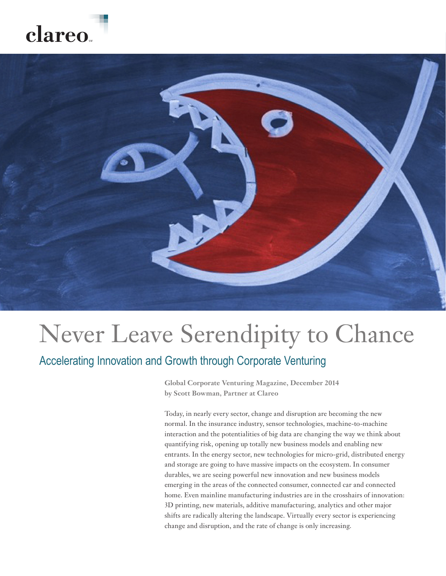### **1** | Never Leave Serendipity to Chance: Accelerating Innovation and Growth through Corporate Venturing clareo.



# Never Leave Serendipity to Chance

### Accelerating Innovation and Growth through Corporate Venturing

**Global Corporate Venturing Magazine, December 2014 by Scott Bowman, Partner at Clareo**

Today, in nearly every sector, change and disruption are becoming the new normal. In the insurance industry, sensor technologies, machine-to-machine interaction and the potentialities of big data are changing the way we think about quantifying risk, opening up totally new business models and enabling new entrants. In the energy sector, new technologies for micro-grid, distributed energy and storage are going to have massive impacts on the ecosystem. In consumer durables, we are seeing powerful new innovation and new business models emerging in the areas of the connected consumer, connected car and connected home. Even mainline manufacturing industries are in the crosshairs of innovation: 3D printing, new materials, additive manufacturing, analytics and other major shifts are radically altering the landscape. Virtually every sector is experiencing change and disruption, and the rate of change is only increasing.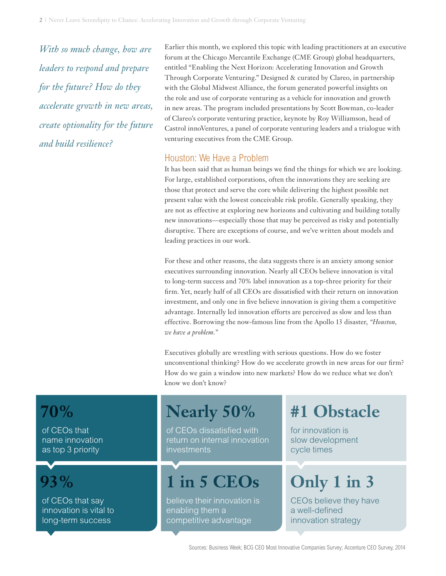*With so much change, how are leaders to respond and prepare for the future? How do they accelerate growth in new areas, create optionality for the future and build resilience?*

Earlier this month, we explored this topic with leading practitioners at an executive forum at the Chicago Mercantile Exchange (CME Group) global headquarters, entitled "Enabling the Next Horizon: Accelerating Innovation and Growth Through Corporate Venturing." Designed & curated by Clareo, in partnership with the Global Midwest Alliance, the forum generated powerful insights on the role and use of corporate venturing as a vehicle for innovation and growth in new areas. The program included presentations by Scott Bowman, co-leader of Clareo's corporate venturing practice, keynote by Roy Williamson, head of Castrol innoVentures, a panel of corporate venturing leaders and a trialogue with venturing executives from the CME Group.

#### Houston: We Have a Problem

It has been said that as human beings we find the things for which we are looking*.* For large, established corporations, often the innovations they are seeking are those that protect and serve the core while delivering the highest possible net present value with the lowest conceivable risk profile. Generally speaking, they are not as effective at exploring new horizons and cultivating and building totally new innovations—especially those that may be perceived as risky and potentially disruptive. There are exceptions of course, and we've written about models and leading practices in our work.

For these and other reasons, the data suggests there is an anxiety among senior executives surrounding innovation. Nearly all CEOs believe innovation is vital to long-term success and 70% label innovation as a top-three priority for their firm. Yet, nearly half of all CEOs are dissatisfied with their return on innovation investment, and only one in five believe innovation is giving them a competitive advantage. Internally led innovation efforts are perceived as slow and less than effective. Borrowing the now-famous line from the Apollo 13 disaster, *"Houston, we have a problem."* 

Executives globally are wrestling with serious questions. How do we foster unconventional thinking? How do we accelerate growth in new areas for our firm? How do we gain a window into new markets? How do we reduce what we don't know we don't know?

### **70%**

of CEOs that name innovation as top 3 priority



of CEOs that say innovation is vital to long-term success

of CEOs dissatisfied with return on internal innovation investments

## **93% 1 in 5 CEOs**

believe their innovation is enabling them a competitive advantage

### **Nearly 50% #1 Obstacle**

for innovation is slow development cycle times

## **Only 1 in 3**

CEOs believe they have a well-defined innovation strategy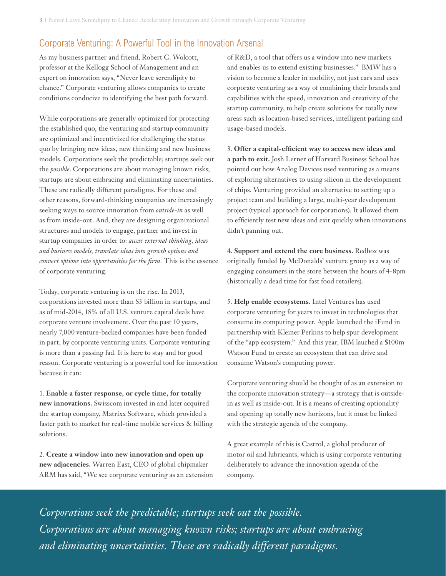### Corporate Venturing: A Powerful Tool in the Innovation Arsenal

As my business partner and friend, Robert C. Wolcott, professor at the Kellogg School of Management and an expert on innovation says, "Never leave serendipity to chance." Corporate venturing allows companies to create conditions conducive to identifying the best path forward.

While corporations are generally optimized for protecting the established quo, the venturing and startup community are optimized and incentivized for challenging the status quo by bringing new ideas, new thinking and new business models. Corporations seek the predictable; startups seek out the *possible*. Corporations are about managing known risks; startups are about embracing and eliminating uncertainties. These are radically different paradigms. For these and other reasons, forward-thinking companies are increasingly seeking ways to source innovation from *outside-in* as well as from inside-out. And, they are designing organizational structures and models to engage, partner and invest in startup companies in order to: *access external thinking, ideas and business models, translate ideas into growth options and convert options into opportunities for the firm.* This is the essence of corporate venturing.

Today, corporate venturing is on the rise. In 2013, corporations invested more than \$3 billion in startups, and as of mid-2014, 18% of all U.S. venture capital deals have corporate venture involvement. Over the past 10 years, nearly 7,000 venture-backed companies have been funded in part, by corporate venturing units. Corporate venturing is more than a passing fad. It is here to stay and for good reason. Corporate venturing is a powerful tool for innovation because it can:

1. **Enable a faster response, or cycle time, for totally new innovations.** Swisscom invested in and later acquired the startup company, Matrixx Software, which provided a faster path to market for real-time mobile services & billing solutions.

2. **Create a window into new innovation and open up new adjacencies.** Warren East, CEO of global chipmaker ARM has said, "We see corporate venturing as an extension of R&D, a tool that offers us a window into new markets and enables us to extend existing businesses." BMW has a vision to become a leader in mobility, not just cars and uses corporate venturing as a way of combining their brands and capabilities with the speed, innovation and creativity of the startup community, to help create solutions for totally new areas such as location-based services, intelligent parking and usage-based models.

3. **Offer a capital-efficient way to access new ideas and a path to exit.** Josh Lerner of Harvard Business School has pointed out how Analog Devices used venturing as a means of exploring alternatives to using silicon in the development of chips. Venturing provided an alternative to setting up a project team and building a large, multi-year development project (typical approach for corporations). It allowed them to efficiently test new ideas and exit quickly when innovations didn't panning out.

4. **Support and extend the core business.** Redbox was originally funded by McDonalds' venture group as a way of engaging consumers in the store between the hours of 4-8pm (historically a dead time for fast food retailers).

5. **Help enable ecosystems.** Intel Ventures has used corporate venturing for years to invest in technologies that consume its computing power. Apple launched the iFund in partnership with Kleiner Perkins to help spur development of the "app ecosystem." And this year, IBM lauched a \$100m Watson Fund to create an ecosystem that can drive and consume Watson's computing power.

Corporate venturing should be thought of as an extension to the corporate innovation strategy—a strategy that is outsidein as well as inside-out. It is a means of creating optionality and opening up totally new horizons, but it must be linked with the strategic agenda of the company.

A great example of this is Castrol, a global producer of motor oil and lubricants, which is using corporate venturing deliberately to advance the innovation agenda of the company.

*Corporations seek the predictable; startups seek out the possible. Corporations are about managing known risks; startups are about embracing and eliminating uncertainties. These are radically different paradigms.*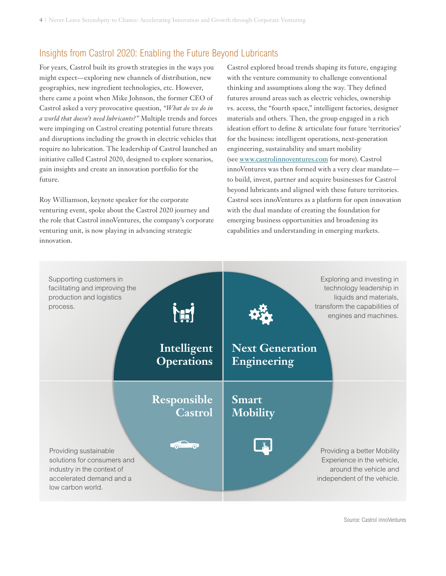### Insights from Castrol 2020: Enabling the Future Beyond Lubricants

For years, Castrol built its growth strategies in the ways you might expect—exploring new channels of distribution, new geographies, new ingredient technologies, etc. However, there came a point when Mike Johnson, the former CEO of Castrol asked a very provocative question, *"What do we do in a world that doesn't need lubricants?"* Multiple trends and forces were impinging on Castrol creating potential future threats and disruptions including the growth in electric vehicles that require no lubrication. The leadership of Castrol launched an initiative called Castrol 2020, designed to explore scenarios, gain insights and create an innovation portfolio for the future.

Roy Williamson, keynote speaker for the corporate venturing event, spoke about the Castrol 2020 journey and the role that Castrol innoVentures, the company's corporate venturing unit, is now playing in advancing strategic innovation.

Castrol explored broad trends shaping its future, engaging with the venture community to challenge conventional thinking and assumptions along the way. They defined futures around areas such as electric vehicles, ownership vs. access, the "fourth space," intelligent factories, designer materials and others. Then, the group engaged in a rich ideation effort to define & articulate four future 'territories' for the business: intelligent operations, next-generation engineering, sustainability and smart mobility (see [www.castrolinnoventures.com](http://www.castrolinnoventures.com) for more). Castrol innoVentures was then formed with a very clear mandate to build, invest, partner and acquire businesses for Castrol beyond lubricants and aligned with these future territories. Castrol sees innoVentures as a platform for open innovation with the dual mandate of creating the foundation for emerging business opportunities and broadening its capabilities and understanding in emerging markets.



Source: Castrol innoVentures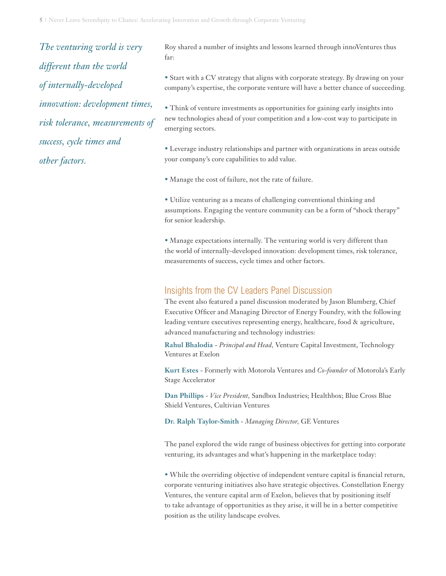*The venturing world is very different than the world of internally-developed innovation: development times, risk tolerance, measurements of success, cycle times and other factors.*

Roy shared a number of insights and lessons learned through innoVentures thus far:

• Start with a CV strategy that aligns with corporate strategy. By drawing on your company's expertise, the corporate venture will have a better chance of succeeding.

• Think of venture investments as opportunities for gaining early insights into new technologies ahead of your competition and a low-cost way to participate in emerging sectors.

• Leverage industry relationships and partner with organizations in areas outside your company's core capabilities to add value.

• Manage the cost of failure, not the rate of failure.

• Utilize venturing as a means of challenging conventional thinking and assumptions. Engaging the venture community can be a form of "shock therapy" for senior leadership.

• Manage expectations internally. The venturing world is very different than the world of internally-developed innovation: development times, risk tolerance, measurements of success, cycle times and other factors.

#### Insights from the CV Leaders Panel Discussion

The event also featured a panel discussion moderated by Jason Blumberg, Chief Executive Officer and Managing Director of Energy Foundry, with the following leading venture executives representing energy, healthcare, food & agriculture, advanced manufacturing and technology industries:

**Rahul Bhalodia** - *Principal and Head,* Venture Capital Investment, Technology Ventures at Exelon

**Kurt Estes** - Formerly with Motorola Ventures and *Co-founder* of Motorola's Early Stage Accelerator

**Dan Phillips** - *Vice President,* Sandbox Industries; Healthbox; Blue Cross Blue Shield Ventures, Cultivian Ventures

**Dr. Ralph Taylor-Smith** - *Managing Director,* GE Ventures

The panel explored the wide range of business objectives for getting into corporate venturing, its advantages and what's happening in the marketplace today:

• While the overriding objective of independent venture capital is financial return, corporate venturing initiatives also have strategic objectives. Constellation Energy Ventures, the venture capital arm of Exelon, believes that by positioning itself to take advantage of opportunities as they arise, it will be in a better competitive position as the utility landscape evolves.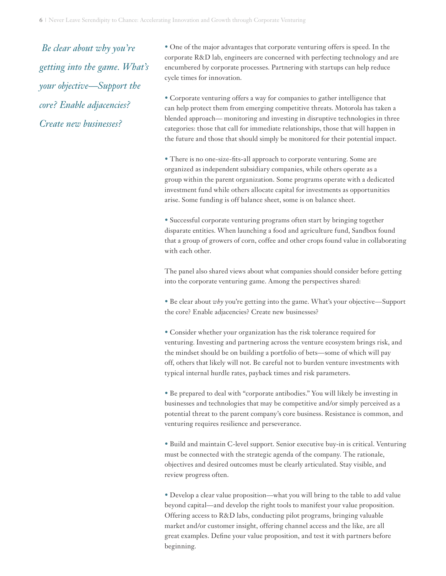*Be clear about why you're getting into the game. What's your objective—Support the core? Enable adjacencies? Create new businesses?*

• One of the major advantages that corporate venturing offers is speed. In the corporate R&D lab, engineers are concerned with perfecting technology and are encumbered by corporate processes. Partnering with startups can help reduce cycle times for innovation.

• Corporate venturing offers a way for companies to gather intelligence that can help protect them from emerging competitive threats. Motorola has taken a blended approach— monitoring and investing in disruptive technologies in three categories: those that call for immediate relationships, those that will happen in the future and those that should simply be monitored for their potential impact.

• There is no one-size-fits-all approach to corporate venturing. Some are organized as independent subsidiary companies, while others operate as a group within the parent organization. Some programs operate with a dedicated investment fund while others allocate capital for investments as opportunities arise. Some funding is off balance sheet, some is on balance sheet.

• Successful corporate venturing programs often start by bringing together disparate entities. When launching a food and agriculture fund, Sandbox found that a group of growers of corn, coffee and other crops found value in collaborating with each other.

The panel also shared views about what companies should consider before getting into the corporate venturing game. Among the perspectives shared:

• Be clear about *why* you're getting into the game. What's your objective—Support the core? Enable adjacencies? Create new businesses?

• Consider whether your organization has the risk tolerance required for venturing. Investing and partnering across the venture ecosystem brings risk, and the mindset should be on building a portfolio of bets—some of which will pay off, others that likely will not. Be careful not to burden venture investments with typical internal hurdle rates, payback times and risk parameters.

• Be prepared to deal with "corporate antibodies." You will likely be investing in businesses and technologies that may be competitive and/or simply perceived as a potential threat to the parent company's core business. Resistance is common, and venturing requires resilience and perseverance.

• Build and maintain C-level support. Senior executive buy-in is critical. Venturing must be connected with the strategic agenda of the company. The rationale, objectives and desired outcomes must be clearly articulated. Stay visible, and review progress often.

• Develop a clear value proposition—what you will bring to the table to add value beyond capital—and develop the right tools to manifest your value proposition. Offering access to R&D labs, conducting pilot programs, bringing valuable market and/or customer insight, offering channel access and the like, are all great examples. Define your value proposition, and test it with partners before beginning.